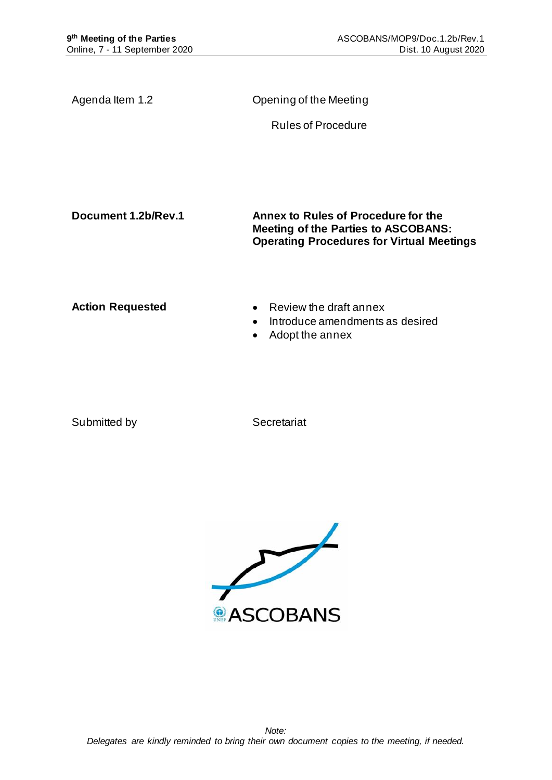| Agenda Item 1.2         | Opening of the Meeting                                                            |
|-------------------------|-----------------------------------------------------------------------------------|
|                         | <b>Rules of Procedure</b>                                                         |
|                         |                                                                                   |
|                         |                                                                                   |
|                         |                                                                                   |
| Document 1.2b/Rev.1     | Annex to Rules of Procedure for the<br><b>Meeting of the Parties to ASCOBANS:</b> |
|                         | <b>Operating Procedures for Virtual Meetings</b>                                  |
|                         |                                                                                   |
| <b>Action Requested</b> | $\bullet$ Review the draft annex                                                  |
|                         | Introduce amendments as desired<br>$\bullet$<br>Adopt the annex<br>$\bullet$      |
|                         |                                                                                   |
|                         |                                                                                   |

Submitted by Secretariat

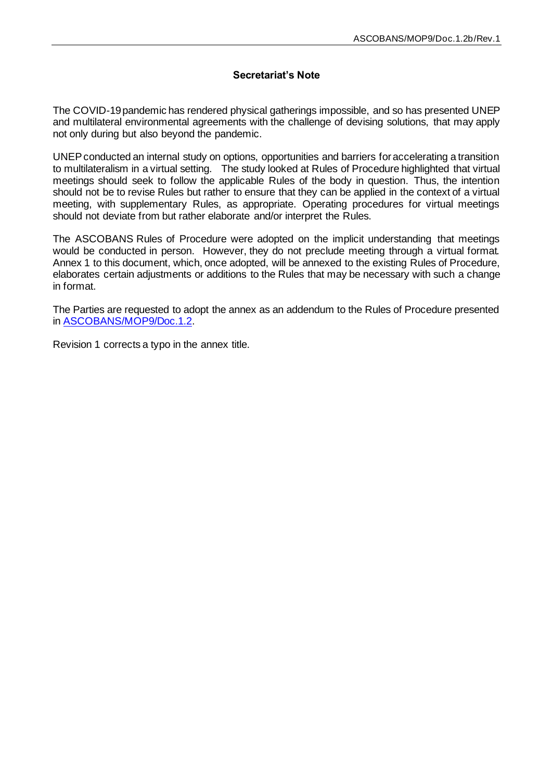# **Secretariat's Note**

The COVID-19 pandemic has rendered physical gatherings impossible, and so has presented UNEP and multilateral environmental agreements with the challenge of devising solutions, that may apply not only during but also beyond the pandemic.

UNEP conducted an internal study on options, opportunities and barriers for accelerating a transition to multilateralism in a virtual setting. The study looked at Rules of Procedure highlighted that virtual meetings should seek to follow the applicable Rules of the body in question. Thus, the intention should not be to revise Rules but rather to ensure that they can be applied in the context of a virtual meeting, with supplementary Rules, as appropriate. Operating procedures for virtual meetings should not deviate from but rather elaborate and/or interpret the Rules.

The ASCOBANS Rules of Procedure were adopted on the implicit understanding that meetings would be conducted in person. However, they do not preclude meeting through a virtual format. Annex 1 to this document, which, once adopted, will be annexed to the existing Rules of Procedure, elaborates certain adjustments or additions to the Rules that may be necessary with such a change in format.

The Parties are requested to adopt the annex as an addendum to the Rules of Procedure presented in [ASCOBANS/MOP9/Doc.1.2](https://www.ascobans.org/en/document/rules-procedure-meeting-parties-ascobans-1).

Revision 1 corrects a typo in the annex title.